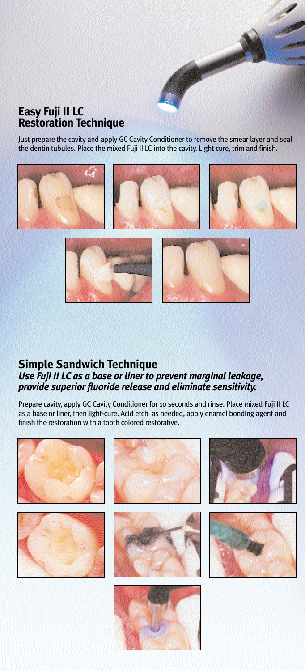#### **Easy Fuji II LC Restoration Technique**

Just prepare the cavity and apply GC Cavity Conditioner to remove the smear layer and seal the dentin tubules. Place the mixed Fuji II LC into the cavity. Light cure, trim and finish.

 $\overline{\phantom{a}}$ 



#### **Simple Sandwich Technique** *Use Fuji II LC as a base or liner to prevent marginal leakage, provide superior fluoride release and eliminate sensitivity.*

Prepare cavity, apply GC Cavity Conditioner for 10 seconds and rinse. Place mixed Fuji II LC as a base or liner, then light-cure. Acid etch as needed, apply enamel bonding agent and finish the restoration with a tooth colored restorative.

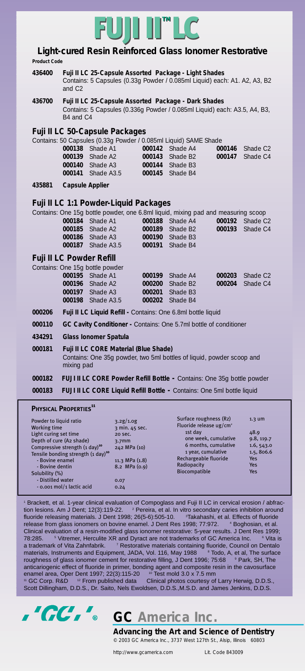

#### **Light-cured Resin Reinforced Glass Ionomer Restorative** *Product Code*

**436400 Fuji II LC 25-Capsule Assorted Package - Light Shades**

Contains: 5 Capsules (0.33g Powder / 0.085ml Liquid) each: A1. A2, A3, B2 and  $C2$ 

#### **436700 Fuji II LC 25-Capsule Assorted Package - Dark Shades**

Contains: 5 Capsules (0.336g Powder / 0.085ml Liquid) each: A3.5, A4, B3, B4 and C4

#### **Fuji II LC 50-Capsule Packages**

Contains: 50 Capsules (0.33g Powder / 0.085ml Liquid) SAME Shade

| <b>000138</b> Shade A1<br><b>000139</b> Shade A2<br><b>000140</b> Shade A3<br><b>000141</b> Shade A3.5 | <b>000142</b> Shade A4<br><b>000143</b> Shade B2<br><b>000144</b> Shade B3<br><b>000145</b> Shade B4 | <b>000146</b> Shade C2<br><b>000147</b> Shade C4 |
|--------------------------------------------------------------------------------------------------------|------------------------------------------------------------------------------------------------------|--------------------------------------------------|
|                                                                                                        |                                                                                                      |                                                  |
|                                                                                                        |                                                                                                      |                                                  |

**435881 Capsule Applier** 

#### **Fuji II LC 1:1 Powder-Liquid Packages**

| Contains: One 15g bottle powder, one 6.8ml liquid, mixing pad and measuring scoop |                          |                        |                        |
|-----------------------------------------------------------------------------------|--------------------------|------------------------|------------------------|
|                                                                                   | <b>000184</b> Shade A1   | <b>000188</b> Shade A4 | <b>000192</b> Shade C2 |
|                                                                                   | <b>000185</b> Shade A2   | <b>000189</b> Shade B2 | <b>000193</b> Shade C4 |
|                                                                                   | <b>000186</b> Shade A3   | <b>000190</b> Shade B3 |                        |
|                                                                                   | <b>000187</b> Shade A3.5 | <b>000191</b> Shade B4 |                        |
|                                                                                   |                          |                        |                        |

#### **Fuji II LC Powder Refill**

Conta

| iins: One 15g bottle powder |                          |                        |                             |
|-----------------------------|--------------------------|------------------------|-----------------------------|
|                             | <b>000195</b> Shade A1   | <b>000199</b> Shade A4 | 000203 Shade C <sub>2</sub> |
|                             | <b>000196</b> Shade A2   | <b>000200</b> Shade B2 | <b>000204</b> Shade C4      |
|                             | <b>000197</b> Shade A3   | <b>000201</b> Shade B3 |                             |
|                             | <b>000198</b> Shade A3.5 | <b>000202</b> Shade B4 |                             |
|                             |                          |                        |                             |

**000206 Fuji II LC Liquid Refill -** Contains: One 6.8ml bottle liquid

**000110 GC Cavity Conditioner -** Contains: One 5.7ml bottle of conditioner

**434291 Glass Ionomer Spatula**

**000181 Fuji II LC CORE Material (Blue Shade)** Contains: One 35g powder, two 5ml bottles of liquid, powder scoop and mixing pad

**000182 FUJI II LC CORE Powder Refill Bottle -** Contains: One 35g bottle powder

**000183 FUJI II LC CORE Liquid Refill Bottle -** Contains: One 5ml bottle liquid

#### **PHYSICAL PROPERTIES<sup>11</sup>**

| Powder to liquid ratio<br><b>Working time</b><br>Light curing set time<br>Depth of cure (A2 shade)<br>Compressive strength $(a\,day)^{10}$<br>Tensile bonding strength $(1 \text{ day})^{10}$<br>- Bovine enamel<br>- Bovine dentin<br>Solubility (%)<br>- Distilled water<br>- 0.001 mol/1 lactic acid | 3.2g/1.0g<br>3 min. 45 sec.<br>20 sec.<br>3.7 <sub>mm</sub><br>242 MPa (10)<br>11.3 MPa (1.8)<br>8.2 MPa (0.9)<br>0.07<br>0.24 | Surface roughness (Rz)<br>Fluoride release ug/cm <sup>2</sup><br>1st dav<br>one week, cumulative<br>6 months, cumulative<br>1 year, cumulative<br>Rechargeable fluoride<br>Radiopacity<br>Biocompatible | $1.3 \text{ um}$<br>48.9<br>9.8, 119.7<br>1.6, 543.0<br>1.5, 806.6<br>Yes<br><b>Yes</b><br><b>Yes</b> |
|---------------------------------------------------------------------------------------------------------------------------------------------------------------------------------------------------------------------------------------------------------------------------------------------------------|--------------------------------------------------------------------------------------------------------------------------------|---------------------------------------------------------------------------------------------------------------------------------------------------------------------------------------------------------|-------------------------------------------------------------------------------------------------------|
|---------------------------------------------------------------------------------------------------------------------------------------------------------------------------------------------------------------------------------------------------------------------------------------------------------|--------------------------------------------------------------------------------------------------------------------------------|---------------------------------------------------------------------------------------------------------------------------------------------------------------------------------------------------------|-------------------------------------------------------------------------------------------------------|

<sup>1</sup> Brackett, et al. 1-year clinical evaluation of Compoglass and Fuji II LC in cervical erosion / abfraction lesions. Am J Dent; 12(3):119-22. <sup>2</sup> Pereira, et al. In vitro secondary caries inhibition around fluoride releasing materials. J Dent 1998; 26(5-6):505-10. 3 <sup>3</sup>Takahashi, et al. Effects of fluoride<br>1998; 77:972. <sup>4</sup> Boghosian, et al. release from glass ionomers on bovine enamel. J Dent Res 1998; 77:972. Clinical evaluation of a resin-modified glass ionomer restorative: 5-year results. J Dent Res 1999;<br>78:285. Sitremer, Herculite XR and Dyract are not trademarks of GC America Inc. Sitra is 78:285. <sup>5</sup> Vitremer, Herculite XR and Dyract are not trademarks of GC America Inc.<br>a trademark of Vita Zahnfabrik. <sup>7</sup> Restorative materials containing fluoride, Council o <sup>7</sup> Restorative materials containing fluoride, Council on Dentalo materials, Instruments and Equipment, JADA, Vol. 116, May 1988 <sup>8</sup> Todo, A, et al, The surface roughness of glass ionomer cement for restorative filling, J Dent 1996; 75:68 <sup>9</sup> Park, SH, The anticariogenic effect of fluoride in primer, bonding agent and composite resin in the cavosurface enamel area, Oper Dent 1997; 22(3):115-20 'º Test mold 3.0 x 7.5 mm<br>'' GC Corp. R&D 'º From published data Clinical photos courtesy of Larry Herwig, D.D.S., " GC Corp. R&D <sup>12</sup> From published data Clinical photos courtesy of Larry Herwig, D.D.S., Scott Dillingham, D.D.S., Dr. Saito, Nels Ewoldsen, D.D.S.,M.S.D. and James Jenkins, D.D.S.



*Advancing the Art and Science of Dentistry* © 2003 GC America Inc., 3737 West 127th St., Alsip, Illinois 60803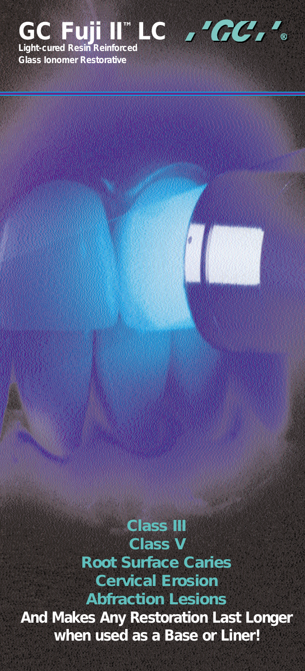# GC Fuji II™ LC J<sup>7</sup>GCJ <sup>7</sup>®

**Light-cured Resin Reinforced Glass Ionomer Restorative**

**Class III Class V Root Surface Caries Cervical Erosion Abfraction Lesions And Makes Any Restoration Last Longer when used as a Base or Liner!**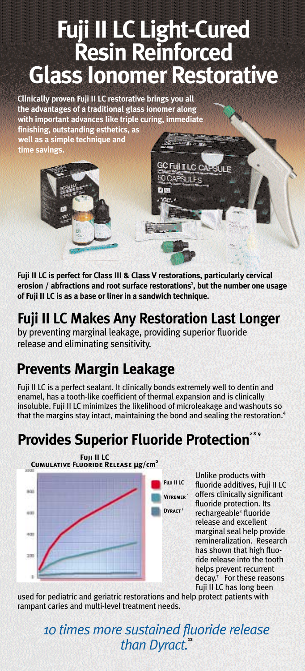# **Fuji II LC Light-Cured Resin Reinforced Glass Ionomer Restorative**

**Clinically proven Fuji II LC restorative brings you all the advantages of a traditional glass ionomer along with important advances like triple curing, immediate finishing, outstanding esthetics, as**

**well as a simple technique and time savings.**



**Fuji II LC is perfect for Class III & Class V restorations, particularly cervical**  erosion / abfractions and root surface restorations<sup>1</sup>, but the number one usage **of Fuji II LC is as a base or liner in a sandwich technique.**

### **Fuji II LC Makes Any Restoration Last Longer**

by preventing marginal leakage, providing superior fluoride release and eliminating sensitivity.

## **Prevents Margin Leakage**

Fuji II LC is a perfect sealant. It clinically bonds extremely well to dentin and enamel, has a tooth-like coefficient of thermal expansion and is clinically insoluble. Fuji II LC minimizes the likelihood of microleakage and washouts so that the margins stay intact, maintaining the bond and sealing the restoration.**<sup>4</sup>**

## **Provides Superior Fluoride Protection<sup>28</sup>**



Unlike products with fluoride additives, Fuji II LC offers clinically significant fluoride protection. Its rechargeable<sup>3</sup> fluoride release and excellent marginal seal help provide remineralization. Research has shown that high fluoride release into the tooth helps prevent recurrent decay.<sup>7</sup> For these reasons Fuji II LC has long been

used for pediatric and geriatric restorations and help protect patients with rampant caries and multi-level treatment needs.

> *10 times more sustained fluoride release*  than Dyract.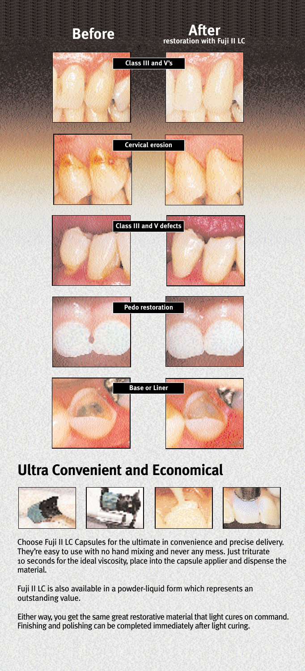

### **Ultra Convenient and Economical**









Choose Fuji II LC Capsules for the ultimate in convenience and precise delivery. They're easy to use with no hand mixing and never any mess. Just triturate 10 seconds for the ideal viscosity, place into the capsule applier and dispense the material.

Fuji II LC is also available in a powder-liquid form which represents an outstanding value.

Either way, you get the same great restorative material that light cures on command. Finishing and polishing can be completed immediately after light curing.